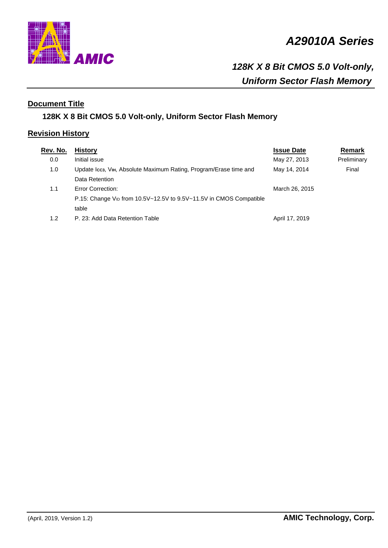

# *A29010A Series*

# *128K X 8 Bit CMOS 5.0 Volt-only, Uniform Sector Flash Memory*

# **Document Title**

# **128K X 8 Bit CMOS 5.0 Volt-only, Uniform Sector Flash Memory**

# **Revision History**

| Rev. No. | <b>History</b>                                                                 | <b>Issue Date</b> | Remark      |
|----------|--------------------------------------------------------------------------------|-------------------|-------------|
| 0.0      | Initial issue                                                                  | May 27, 2013      | Preliminary |
| 1.0      | Update Icc3, VIн, Absolute Maximum Rating, Program/Erase time and              | May 14, 2014      | Final       |
|          | Data Retention                                                                 |                   |             |
| 1.1      | <b>Error Correction:</b>                                                       | March 26, 2015    |             |
|          | P.15: Change V <sub>ID</sub> from 10.5V~12.5V to 9.5V~11.5V in CMOS Compatible |                   |             |
|          | table                                                                          |                   |             |
| 1.2      | P. 23: Add Data Retention Table                                                | April 17, 2019    |             |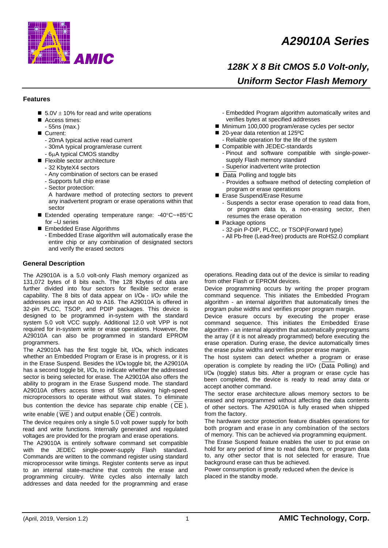

# *A29010A Series*

# *128K X 8 Bit CMOS 5.0 Volt-only, Uniform Sector Flash Memory*

## **Features**

- 5.0V  $\pm$  10% for read and write operations
- Access times:
- 55ns (max.)
- Current:
	- 20mA typical active read current
	- 30mA typical program/erase current
	- 6μA typical CMOS standby
- Flexible sector architecture
- 32 KbyteX4 sectors
- Any combination of sectors can be erased
- Supports full chip erase
- Sector protection:
- A hardware method of protecting sectors to prevent any inadvertent program or erase operations within that sector
- Extended operating temperature range: -40°C~+85°C for –U series
- Embedded Erase Algorithms
- Embedded Erase algorithm will automatically erase the entire chip or any combination of designated sectors and verify the erased sectors

#### **General Description**

The A29010A is a 5.0 volt-only Flash memory organized as 131,072 bytes of 8 bits each. The 128 Kbytes of data are further divided into four sectors for flexible sector erase capability. The 8 bits of data appear on I/O**0** - I/O**7** while the addresses are input on A0 to A16. The A29010A is offered in 32-pin PLCC, TSOP, and PDIP packages. This device is designed to be programmed in-system with the standard system 5.0 volt VCC supply. Additional 12.0 volt VPP is not required for in-system write or erase operations. However, the A29010A can also be programmed in standard EPROM programmers.

The A29010A has the first toggle bit, I/O**6**, which indicates whether an Embedded Program or Erase is in progress, or it is in the Erase Suspend. Besides the I/O**6** toggle bit, the A29010A has a second toggle bit, I/O**2**, to indicate whether the addressed sector is being selected for erase. The A29010A also offers the ability to program in the Erase Suspend mode. The standard A29010A offers access times of 55ns allowing high-speed microprocessors to operate without wait states. To eliminate bus contention the device has separate chip enable ( CE ),

write enable ( WE ) and output enable (OE ) controls.

The device requires only a single 5.0 volt power supply for both read and write functions. Internally generated and regulated voltages are provided for the program and erase operations.

The A29010A is entirely software command set compatible with the JEDEC single-power-supply Flash standard. Commands are written to the command register using standard microprocessor write timings. Register contents serve as input to an internal state-machine that controls the erase and programming circuitry. Write cycles also internally latch addresses and data needed for the programming and erase

- Embedded Program algorithm automatically writes and verifies bytes at specified addresses
- Minimum 100,000 program/erase cycles per sector
- 20-year data retention at 125°C
- Reliable operation for the life of the system
- Compatible with JEDEC-standards
	- Pinout and software compatible with single-powersupply Flash memory standard
	- Superior inadvertent write protection
- Data Polling and toggle bits - Provides a software method of detecting completion of program or erase operations
- Erase Suspend/Erase Resume
	- Suspends a sector erase operation to read data from, or program data to, a non-erasing sector, then resumes the erase operation
- Package options
	- 32-pin P-DIP, PLCC, or TSOP(Forward type)
	- All Pb-free (Lead-free) products are RoHS2.0 compliant

operations. Reading data out of the device is similar to reading from other Flash or EPROM devices.

Device programming occurs by writing the proper program command sequence. This initiates the Embedded Program algorithm - an internal algorithm that automatically times the program pulse widths and verifies proper program margin.

Device erasure occurs by executing the proper erase command sequence. This initiates the Embedded Erase algorithm - an internal algorithm that automatically preprograms the array (if it is not already programmed) before executing the erase operation. During erase, the device automatically times the erase pulse widths and verifies proper erase margin.

The host system can detect whether a program or erase operation is complete by reading the I/O**7** (Data Polling) and I/O**6** (toggle) status bits. After a program or erase cycle has been completed, the device is ready to read array data or accept another command.

The sector erase architecture allows memory sectors to be erased and reprogrammed without affecting the data contents of other sectors. The A29010A is fully erased when shipped from the factory.

The hardware sector protection feature disables operations for both program and erase in any combination of the sectors of memory. This can be achieved via programming equipment.

The Erase Suspend feature enables the user to put erase on hold for any period of time to read data from, or program data to, any other sector that is not selected for erasure. True background erase can thus be achieved.

Power consumption is greatly reduced when the device is placed in the standby mode.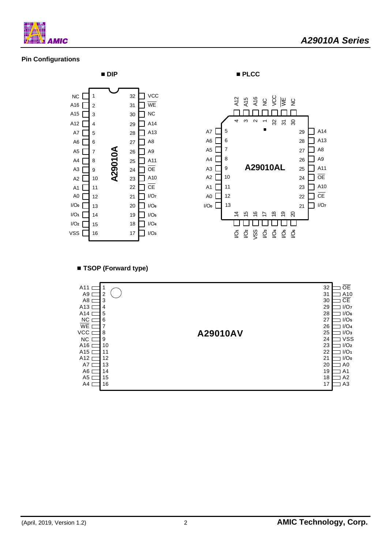

# **Pin Configurations**



■ **TSOP** (Forward type)

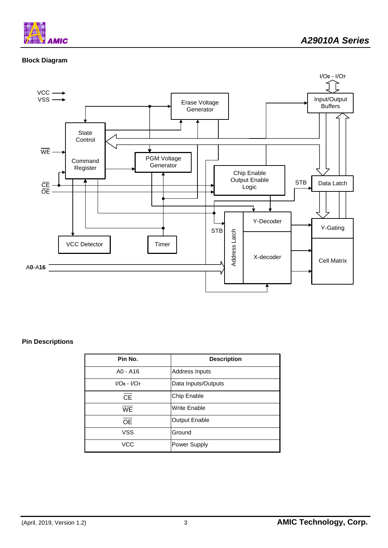

# **Block Diagram**



## **Pin Descriptions**

| Pin No.         | <b>Description</b>   |
|-----------------|----------------------|
| $AO - A16$      | Address Inputs       |
| $I/O0 - I/O7$   | Data Inputs/Outputs  |
| <b>CE</b>       | Chip Enable          |
| <b>WE</b>       | <b>Write Enable</b>  |
| $\overline{OE}$ | <b>Output Enable</b> |
| <b>VSS</b>      | Ground               |
| VCC             | Power Supply         |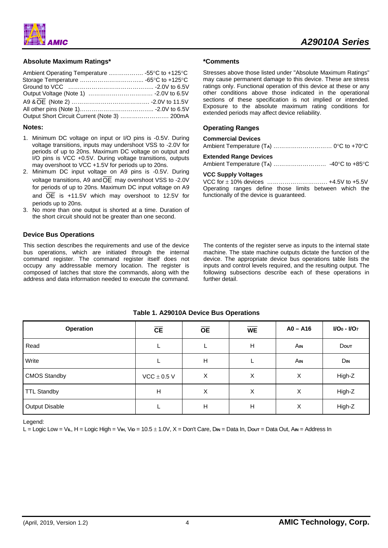

## **Absolute Maximum Ratings\***

| Output Short Circuit Current (Note 3)  200mA |  |
|----------------------------------------------|--|

#### **Notes:**

- 1. Minimum DC voltage on input or I/O pins is -0.5V. During voltage transitions, inputs may undershoot VSS to -2.0V for periods of up to 20ns. Maximum DC voltage on output and I/O pins is VCC +0.5V. During voltage transitions, outputs may overshoot to VCC +1.5V for periods up to 20ns.
- 2. Minimum DC input voltage on A9 pins is -0.5V. During voltage transitions, A9 andOE may overshoot VSS to -2.0V for periods of up to 20ns. Maximum DC input voltage on A9 and OE is +11.5V which may overshoot to 12.5V for periods up to 20ns.
- 3. No more than one output is shorted at a time. Duration of the short circuit should not be greater than one second.

## **Device Bus Operations**

This section describes the requirements and use of the device bus operations, which are initiated through the internal command register. The command register itself does not occupy any addressable memory location. The register is composed of latches that store the commands, along with the address and data information needed to execute the command.

#### **\*Comments**

Stresses above those listed under "Absolute Maximum Ratings" may cause permanent damage to this device. These are stress ratings only. Functional operation of this device at these or any other conditions above those indicated in the operational sections of these specification is not implied or intended. Exposure to the absolute maximum rating conditions for extended periods may affect device reliability.

## **Operating Ranges**

| <b>Commercial Devices</b>     |  |
|-------------------------------|--|
|                               |  |
| <b>Extended Range Devices</b> |  |
|                               |  |

#### **VCC Supply Voltages**

VCC for ± 10% devices …………………………. +4.5V to +5.5V Operating ranges define those limits between which the functionally of the device is guaranteed.

The contents of the register serve as inputs to the internal state machine. The state machine outputs dictate the function of the device. The appropriate device bus operations table lists the inputs and control levels required, and the resulting output. The following subsections describe each of these operations in further detail.

| Operation             | <b>CE</b>       | <b>OE</b> | <b>WE</b> | $AO - A16$ | $I/O0 - I/O7$ |
|-----------------------|-----------------|-----------|-----------|------------|---------------|
| Read                  |                 |           | H         | Ain        | Dout          |
| Write                 |                 | H         |           | <b>AIN</b> | DIN           |
| <b>CMOS Standby</b>   | $VCC \pm 0.5$ V | X         | X         | X          | High-Z        |
| <b>TTL Standby</b>    | Н               | X         | X         | X          | High-Z        |
| <b>Output Disable</b> |                 | H         | H         | X          | High-Z        |

## **Table 1. A29010A Device Bus Operations**

Legend:

L = Logic Low = V**IL**, H = Logic High = V**IH**, V**ID** = 10.5 ± 1.0V, X = Don't Care, D**IN** = Data In, D**OUT** = Data Out, A**IN** = Address In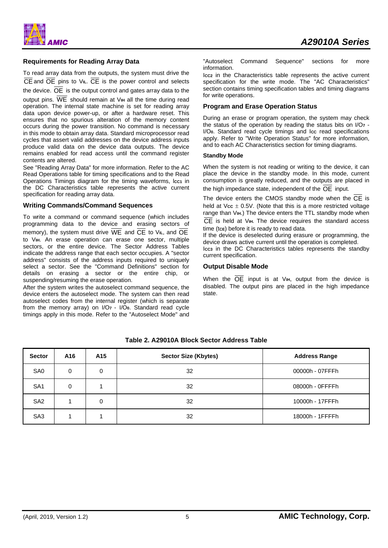# **Requirements for Reading Array Data**

To read array data from the outputs, the system must drive the  $\overline{CE}$  and  $\overline{OE}$  pins to V<sub>IL</sub>.  $\overline{CE}$  is the power control and selects the device.  $\overline{OE}$  is the output control and gates array data to the output pins. WE should remain at V**IH** all the time during read operation. The internal state machine is set for reading array data upon device power-up, or after a hardware reset. This ensures that no spurious alteration of the memory content occurs during the power transition. No command is necessary in this mode to obtain array data. Standard microprocessor read cycles that assert valid addresses on the device address inputs produce valid data on the device data outputs. The device remains enabled for read access until the command register contents are altered.

See "Reading Array Data" for more information. Refer to the AC Read Operations table for timing specifications and to the Read Operations Timings diagram for the timing waveforms, Icc1 in the DC Characteristics table represents the active current specification for reading array data.

### **Writing Commands/Command Sequences**

To write a command or command sequence (which includes programming data to the device and erasing sectors of memory), the system must drive  $\overline{WE}$  and  $\overline{CE}$  to V<sub>IL</sub>, and  $\overline{OE}$ to V**IH**. An erase operation can erase one sector, multiple sectors, or the entire device. The Sector Address Tables indicate the address range that each sector occupies. A "sector address" consists of the address inputs required to uniquely select a sector. See the "Command Definitions" section for details on erasing a sector or the entire chip, or suspending/resuming the erase operation.

After the system writes the autoselect command sequence, the device enters the autoselect mode. The system can then read autoselect codes from the internal register (which is separate from the memory array) on I/O**7** - I/O**0**. Standard read cycle timings apply in this mode. Refer to the "Autoselect Mode" and

"Autoselect Command Sequence" sections for more information.

I**CC2** in the Characteristics table represents the active current specification for the write mode. The "AC Characteristics" section contains timing specification tables and timing diagrams for write operations.

# **Program and Erase Operation Status**

During an erase or program operation, the system may check the status of the operation by reading the status bits on I/O**7** - I/O<sub>0</sub>. Standard read cycle timings and Icc read specifications apply. Refer to "Write Operation Status" for more information, and to each AC Characteristics section for timing diagrams.

### **Standby Mode**

When the system is not reading or writing to the device, it can place the device in the standby mode. In this mode, current consumption is greatly reduced, and the outputs are placed in the high impedance state, independent of the OE input.

The device enters the CMOS standby mode when the  $\overline{CE}$  is held at  $\sqrt{c}$   $\leq$   $\pm$  0.5V. (Note that this is a more restricted voltage range than V<sub>IH</sub>.) The device enters the TTL standby mode when CE is held at V**IH.** The device requires the standard access time (t**CE**) before it is ready to read data.

If the device is deselected during erasure or programming, the device draws active current until the operation is completed. Icc<sub>3</sub> in the DC Characteristics tables represents the standby current specification.

## **Output Disable Mode**

When the  $\overline{OE}$  input is at V<sub>IH</sub>, output from the device is disabled. The output pins are placed in the high impedance state.

| <b>Sector</b>   | A16 | A <sub>15</sub> | <b>Sector Size (Kbytes)</b> | <b>Address Range</b> |
|-----------------|-----|-----------------|-----------------------------|----------------------|
| SA0             | 0   | 0               | 32                          | 00000h - 07FFFh      |
| SA <sub>1</sub> | 0   |                 | 32                          | 08000h - 0FFFFh      |
| SA <sub>2</sub> |     | 0               | 32                          | 10000h - 17FFFh      |
| SA <sub>3</sub> |     |                 | 32                          | 18000h - 1FFFFh      |

## **Table 2. A29010A Block Sector Address Table**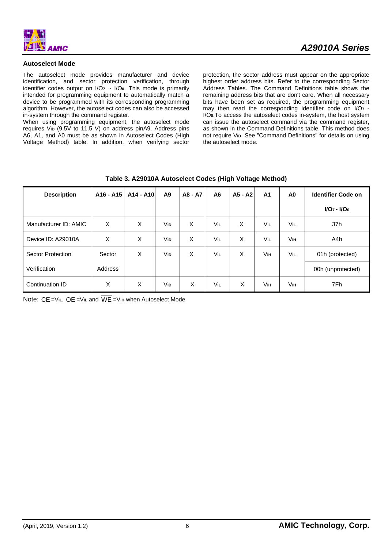

## **Autoselect Mode**

The autoselect mode provides manufacturer and device identification, and sector protection verification, through identifier codes output on I/O**7** - I/O**0**. This mode is primarily intended for programming equipment to automatically match a device to be programmed with its corresponding programming algorithm. However, the autoselect codes can also be accessed in-system through the command register.

When using programming equipment, the autoselect mode requires V<sub>ID</sub> (9.5V to 11.5 V) on address pinA9. Address pins A6, A1, and A0 must be as shown in Autoselect Codes (High Voltage Method) table. In addition, when verifying sector

protection, the sector address must appear on the appropriate highest order address bits. Refer to the corresponding Sector Address Tables. The Command Definitions table shows the remaining address bits that are don't care. When all necessary bits have been set as required, the programming equipment may then read the corresponding identifier code on I/O**7** - I/O**0**.To access the autoselect codes in-system, the host system can issue the autoselect command via the command register, as shown in the Command Definitions table. This method does not require V**ID**. See "Command Definitions" for details on using the autoselect mode.

| <b>Description</b>       | A <sub>16</sub> - A <sub>15</sub> | A14 - A10 | A9  | A8 - A7 | A <sub>6</sub> | $A5 - A2$ | A <sub>1</sub> | A <sub>0</sub> | <b>Identifier Code on</b> |
|--------------------------|-----------------------------------|-----------|-----|---------|----------------|-----------|----------------|----------------|---------------------------|
|                          |                                   |           |     |         |                |           |                |                | $I/O_7 - I/O_0$           |
| Manufacturer ID: AMIC    | X                                 | X         | VID | X       | <b>VIL</b>     | X         | VIL            | VIL            | 37h                       |
| Device ID: A29010A       | X                                 | X         | VID | X       | VIL            | X         | Vil            | Vін            | A4h                       |
| <b>Sector Protection</b> | Sector                            | X         | VID | X       | <b>VIL</b>     | X         | Vін            | <b>VIL</b>     | 01h (protected)           |
| Verification             | Address                           |           |     |         |                |           |                |                | 00h (unprotected)         |
| Continuation ID          | X                                 | X         | VID | X       | <b>VIL</b>     | X         | Vін            | <b>V</b> ін    | 7Fh                       |

| Table 3. A29010A Autoselect Codes (High Voltage Method) |  |  |
|---------------------------------------------------------|--|--|
|---------------------------------------------------------|--|--|

Note: CE=V**IL**, OE =V**IL** and WE =V**IH** when Autoselect Mode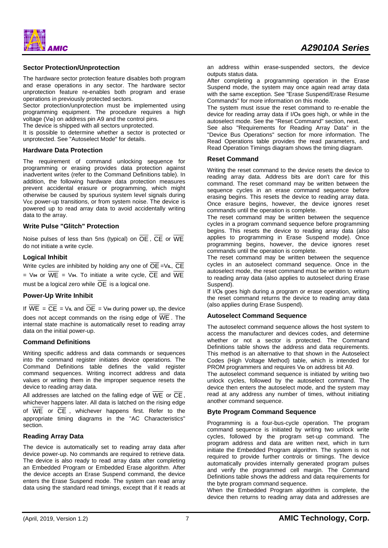**AMIC** 

## **Sector Protection/Unprotection**

The hardware sector protection feature disables both program and erase operations in any sector. The hardware sector unprotection feature re-enables both program and erase operations in previously protected sectors.

Sector protection/unprotection must be implemented using programming equipment. The procedure requires a high voltage (V**ID**) on address pin A9 and the control pins.

The device is shipped with all sectors unprotected.

It is possible to determine whether a sector is protected or unprotected. See "Autoselect Mode" for details.

#### **Hardware Data Protection**

The requirement of command unlocking sequence for programming or erasing provides data protection against inadvertent writes (refer to the Command Definitions table). In addition, the following hardware data protection measures prevent accidental erasure or programming, which might otherwise be caused by spurious system level signals during Vcc power-up transitions, or from system noise. The device is powered up to read array data to avoid accidentally writing data to the array.

## **Write Pulse "Glitch" Protection**

Noise pulses of less than 5ns (typical) on  $\overline{OE}$ ,  $\overline{CE}$  or  $\overline{WE}$ do not initiate a write cycle.

## **Logical Inhibit**

Write cycles are inhibited by holding any one of  $\overline{OE}$  = VIL,  $\overline{CE}$  $=$  V<sub>IH</sub> or  $\overline{WE}$  = V<sub>IH</sub>. To initiate a write cycle,  $\overline{CE}$  and  $\overline{WE}$ must be a logical zero while  $\overline{OE}$  is a logical one.

#### **Power-Up Write Inhibit**

If  $\overline{WE} = \overline{CE} = \overline{VE}$  and  $\overline{OE} = \overline{V}$  in during power up, the device does not accept commands on the rising edge of  $\overline{\text{WE}}$  . The internal state machine is automatically reset to reading array data on the initial power-up.

#### **Command Definitions**

Writing specific address and data commands or sequences into the command register initiates device operations. The Command Definitions table defines the valid register command sequences. Writing incorrect address and data values or writing them in the improper sequence resets the device to reading array data.

All addresses are latched on the falling edge of  $\overline{WE}$  or  $\overline{CE}$ , whichever happens later. All data is latched on the rising edge of  $\overline{WE}$  or  $\overline{CE}$ , whichever happens first. Refer to the appropriate timing diagrams in the "AC Characteristics" section.

#### **Reading Array Data**

The device is automatically set to reading array data after device power-up. No commands are required to retrieve data. The device is also ready to read array data after completing an Embedded Program or Embedded Erase algorithm. After the device accepts an Erase Suspend command, the device enters the Erase Suspend mode. The system can read array data using the standard read timings, except that if it reads at

an address within erase-suspended sectors, the device outputs status data.

After completing a programming operation in the Erase Suspend mode, the system may once again read array data with the same exception. See "Erase Suspend/Erase Resume Commands" for more information on this mode.

The system must issue the reset command to re-enable the device for reading array data if I/O**5** goes high, or while in the autoselect mode. See the "Reset Command" section, next.

See also "Requirements for Reading Array Data" in the "Device Bus Operations" section for more information. The Read Operations table provides the read parameters, and Read Operation Timings diagram shows the timing diagram.

#### **Reset Command**

Writing the reset command to the device resets the device to reading array data. Address bits are don't care for this command. The reset command may be written between the sequence cycles in an erase command sequence before erasing begins. This resets the device to reading array data. Once erasure begins, however, the device ignores reset commands until the operation is complete.

The reset command may be written between the sequence cycles in a program command sequence before programming begins. This resets the device to reading array data (also applies to programming in Erase Suspend mode). Once programming begins, however, the device ignores reset commands until the operation is complete.

The reset command may be written between the sequence cycles in an autoselect command sequence. Once in the autoselect mode, the reset command must be written to return to reading array data (also applies to autoselect during Erase Suspend).

If I/O**5** goes high during a program or erase operation, writing the reset command returns the device to reading array data (also applies during Erase Suspend).

## **Autoselect Command Sequence**

The autoselect command sequence allows the host system to access the manufacturer and devices codes, and determine whether or not a sector is protected. The Command Definitions table shows the address and data requirements. This method is an alternative to that shown in the Autoselect Codes (High Voltage Method) table, which is intended for PROM programmers and requires V<sub>ID</sub> on address bit A9.

The autoselect command sequence is initiated by writing two unlock cycles, followed by the autoselect command. The device then enters the autoselect mode, and the system may read at any address any number of times, without initiating another command sequence.

#### **Byte Program Command Sequence**

Programming is a four-bus-cycle operation. The program command sequence is initiated by writing two unlock write cycles, followed by the program set-up command. The program address and data are written next, which in turn initiate the Embedded Program algorithm. The system is not required to provide further controls or timings. The device automatically provides internally generated program pulses and verify the programmed cell margin. The Command Definitions table shows the address and data requirements for the byte program command sequence.

When the Embedded Program algorithm is complete, the device then returns to reading array data and addresses are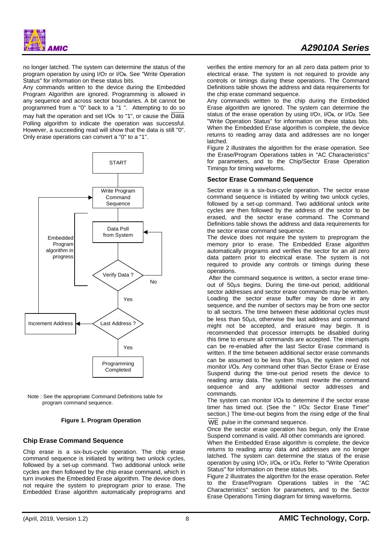no longer latched. The system can determine the status of the program operation by using I/O**7** or I/O**6**. See "Write Operation Status" for information on these status bits.

Any commands written to the device during the Embedded Program Algorithm are ignored. Programming is allowed in any sequence and across sector boundaries. A bit cannot be programmed from a "0" back to a "1 ". Attempting to do so may halt the operation and set I/O**5** to "1", or cause the Data Polling algorithm to indicate the operation was successful. However, a succeeding read will show that the data is still "0". Only erase operations can convert a "0" to a "1".



Note : See the appropriate Command Definitions table for program command sequence.

#### **Figure 1. Program Operation**

## **Chip Erase Command Sequence**

Chip erase is a six-bus-cycle operation. The chip erase command sequence is initiated by writing two unlock cycles, followed by a set-up command. Two additional unlock write cycles are then followed by the chip erase command, which in turn invokes the Embedded Erase algorithm. The device does not require the system to preprogram prior to erase. The Embedded Erase algorithm automatically preprograms and

verifies the entire memory for an all zero data pattern prior to electrical erase. The system is not required to provide any controls or timings during these operations. The Command Definitions table shows the address and data requirements for the chip erase command sequence.

Any commands written to the chip during the Embedded Erase algorithm are ignored. The system can determine the status of the erase operation by using I/O**7**, I/O**6**, or I/O**2**. See "Write Operation Status" for information on these status bits. When the Embedded Erase algorithm is complete, the device returns to reading array data and addresses are no longer latched.

Figure 2 illustrates the algorithm for the erase operation. See the Erase/Program Operations tables in "AC Characteristics" for parameters, and to the Chip/Sector Erase Operation Timings for timing waveforms.

#### **Sector Erase Command Sequence**

Sector erase is a six-bus-cycle operation. The sector erase command sequence is initiated by writing two unlock cycles, followed by a set-up command. Two additional unlock write cycles are then followed by the address of the sector to be erased, and the sector erase command. The Command Definitions table shows the address and data requirements for the sector erase command sequence.

The device does not require the system to preprogram the memory prior to erase. The Embedded Erase algorithm automatically programs and verifies the sector for an all zero data pattern prior to electrical erase. The system is not required to provide any controls or timings during these operations.

 After the command sequence is written, a sector erase timeout of 50μs begins. During the time-out period, additional sector addresses and sector erase commands may be written. Loading the sector erase buffer may be done in any sequence, and the number of sectors may be from one sector to all sectors. The time between these additional cycles must be less than 50μs, otherwise the last address and command might not be accepted, and erasure may begin. It is recommended that processor interrupts be disabled during this time to ensure all commands are accepted. The interrupts can be re-enabled after the last Sector Erase command is written. If the time between additional sector erase commands can be assumed to be less than 50μs, the system need not monitor I/O**3**. Any command other than Sector Erase or Erase Suspend during the time-out period resets the device to reading array data. The system must rewrite the command sequence and any additional sector addresses and commands.

The system can monitor I/O**3** to determine if the sector erase timer has timed out. (See the " I/O**3**: Sector Erase Timer" section.) The time-out begins from the rising edge of the final

WE pulse in the command sequence.

Once the sector erase operation has begun, only the Erase Suspend command is valid. All other commands are ignored.

When the Embedded Erase algorithm is complete, the device returns to reading array data and addresses are no longer latched. The system can determine the status of the erase operation by using I/O**7**, I/O**6**, or I/O**2**. Refer to "Write Operation Status" for information on these status bits.

Figure 2 illustrates the algorithm for the erase operation. Refer to the Erase/Program Operations tables in the "AC Characteristics" section for parameters, and to the Sector Erase Operations Timing diagram for timing waveforms.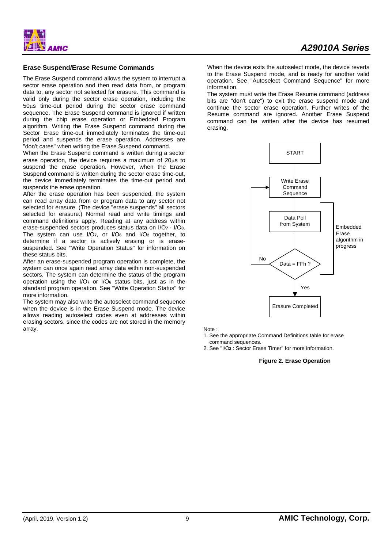## **Erase Suspend/Erase Resume Commands**

The Erase Suspend command allows the system to interrupt a sector erase operation and then read data from, or program data to, any sector not selected for erasure. This command is valid only during the sector erase operation, including the 50μs time-out period during the sector erase command sequence. The Erase Suspend command is ignored if written during the chip erase operation or Embedded Program algorithm. Writing the Erase Suspend command during the Sector Erase time-out immediately terminates the time-out period and suspends the erase operation. Addresses are "don't cares" when writing the Erase Suspend command.

When the Erase Suspend command is written during a sector erase operation, the device requires a maximum of 20μs to suspend the erase operation. However, when the Erase Suspend command is written during the sector erase time-out, the device immediately terminates the time-out period and suspends the erase operation.

After the erase operation has been suspended, the system can read array data from or program data to any sector not selected for erasure. (The device "erase suspends" all sectors selected for erasure.) Normal read and write timings and command definitions apply. Reading at any address within erase-suspended sectors produces status data on I/O**7** - I/O**0**. The system can use I/O**7**, or I/O**6** and I/O**2** together, to determine if a sector is actively erasing or is erasesuspended. See "Write Operation Status" for information on these status bits.

After an erase-suspended program operation is complete, the system can once again read array data within non-suspended sectors. The system can determine the status of the program operation using the I/O**7** or I/O**6** status bits, just as in the standard program operation. See "Write Operation Status" for more information.

The system may also write the autoselect command sequence when the device is in the Erase Suspend mode. The device allows reading autoselect codes even at addresses within erasing sectors, since the codes are not stored in the memory array.

When the device exits the autoselect mode, the device reverts to the Erase Suspend mode, and is ready for another valid operation. See "Autoselect Command Sequence" for more information.

The system must write the Erase Resume command (address bits are "don't care") to exit the erase suspend mode and continue the sector erase operation. Further writes of the Resume command are ignored. Another Erase Suspend command can be written after the device has resumed erasing.



Note :

1. See the appropriate Command Definitions table for erase command sequences.

2. See "I/O**3** : Sector Erase Timer" for more information.

#### **Figure 2. Erase Operation**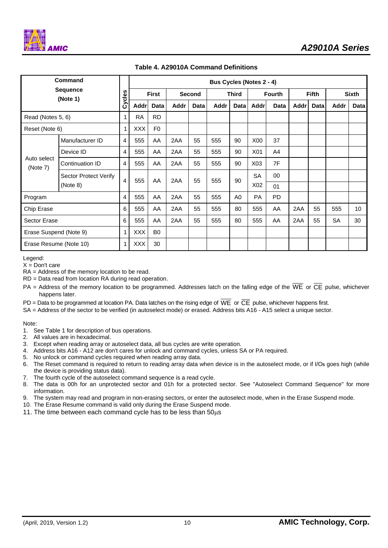| <b>Command</b>          |                            |        | <b>Bus Cycles (Notes 2 - 4)</b> |                |               |             |              |           |                  |                |                   |      |              |             |
|-------------------------|----------------------------|--------|---------------------------------|----------------|---------------|-------------|--------------|-----------|------------------|----------------|-------------------|------|--------------|-------------|
|                         | Sequence<br>(Note 1)       | Cycles | <b>First</b>                    |                | <b>Second</b> |             | <b>Third</b> |           | <b>Fourth</b>    |                | <b>Fifth</b>      |      | <b>Sixth</b> |             |
|                         |                            |        | <b>Addr</b>                     | Data           | Addr          | <b>Data</b> | Addr         | Data l    | Addrl            | Data           | Addr <sup>1</sup> | Data | Addr         | <b>Data</b> |
| Read (Notes 5, 6)       |                            | 1      | <b>RA</b>                       | <b>RD</b>      |               |             |              |           |                  |                |                   |      |              |             |
| Reset (Note 6)          |                            | 1      | <b>XXX</b>                      | F <sub>0</sub> |               |             |              |           |                  |                |                   |      |              |             |
|                         | Manufacturer ID            | 4      | 555                             | AA             | 2AA           | 55          | 555          | 90        | X00              | 37             |                   |      |              |             |
|                         | Device ID                  | 4      | 555                             | AA             | 2AA           | 55          | 555          | 90        | X01              | A <sub>4</sub> |                   |      |              |             |
| Auto select<br>(Note 7) | Continuation ID            | 4      | 555                             | AA             | 2AA           | 55          | 555          | 90        | X <sub>03</sub>  | 7F             |                   |      |              |             |
|                         | Sector Protect Verify<br>4 | 555    | AA                              | 2AA            | 55            | 555         | 90           | <b>SA</b> | 00               |                |                   |      |              |             |
|                         | (Note 8)                   |        |                                 |                |               |             |              |           | X <sub>0</sub> 2 | 01             |                   |      |              |             |
| Program                 |                            | 4      | 555                             | AA             | 2AA           | 55          | 555          | A0        | <b>PA</b>        | <b>PD</b>      |                   |      |              |             |
| Chip Erase              |                            | 6      | 555                             | AA             | 2AA           | 55          | 555          | 80        | 555              | AA             | 2AA               | 55   | 555          | 10          |
| Sector Erase            |                            | 6      | 555                             | AA             | 2AA           | 55          | 555          | 80        | 555              | AA             | 2AA               | 55   | <b>SA</b>    | 30          |
| Erase Suspend (Note 9)  |                            | 1      | <b>XXX</b>                      | B <sub>0</sub> |               |             |              |           |                  |                |                   |      |              |             |
| Erase Resume (Note 10)  |                            | 1      | <b>XXX</b>                      | 30             |               |             |              |           |                  |                |                   |      |              |             |

# **Table 4. A29010A Command Definitions**

Legend:

 $X =$  Don't care

RA = Address of the memory location to be read.

RD = Data read from location RA during read operation.

PA = Address of the memory location to be programmed. Addresses latch on the falling edge of the  $\overline{WE}$  or  $\overline{CE}$  pulse, whichever happens later.

PD = Data to be programmed at location PA. Data latches on the rising edge of  $\overline{WE}$  or  $\overline{CE}$  pulse, whichever happens first.

SA = Address of the sector to be verified (in autoselect mode) or erased. Address bits A16 - A15 select a unique sector.

Note:

1. See Table 1 for description of bus operations.

2. All values are in hexadecimal.

- 3. Except when reading array or autoselect data, all bus cycles are write operation.
- 4. Address bits A16 A12 are don't cares for unlock and command cycles, unless SA or PA required.
- 5. No unlock or command cycles required when reading array data.
- 6. The Reset command is required to return to reading array data when device is in the autoselect mode, or if I/O**5** goes high (while the device is providing status data).
- 7. The fourth cycle of the autoselect command sequence is a read cycle.
- 8. The data is 00h for an unprotected sector and 01h for a protected sector. See "Autoselect Command Sequence" for more information.
- 9. The system may read and program in non-erasing sectors, or enter the autoselect mode, when in the Erase Suspend mode.
- 10. The Erase Resume command is valid only during the Erase Suspend mode.
- 11. The time between each command cycle has to be less than 50μs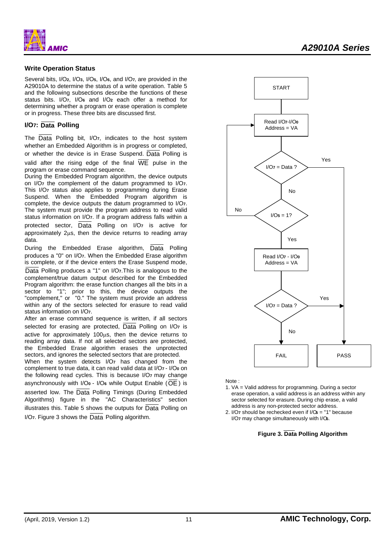

#### **Write Operation Status**

Several bits, I/O**2**, I/O**3**, I/O**5**, I/O**6**, and I/O**7,** are provided in the A29010A to determine the status of a write operation. Table 5 and the following subsections describe the functions of these status bits. I/O**7**, I/O**6** and I/O**2** each offer a method for determining whether a program or erase operation is complete or in progress. These three bits are discussed first.

## **I/O7: Data Polling**

The Data Polling bit, I/O**7**, indicates to the host system whether an Embedded Algorithm is in progress or completed, or whether the device is in Erase Suspend.  $\overline{Data}$  Polling is valid after the rising edge of the final  $\overline{WE}$  pulse in the program or erase command sequence.

During the Embedded Program algorithm, the device outputs on I/O**7** the complement of the datum programmed to I/O**7**. This I/O**7** status also applies to programming during Erase Suspend. When the Embedded Program algorithm is complete, the device outputs the datum programmed to I/O**7**. The system must provide the program address to read valid status information on I/O**7**. If a program address falls within a protected sector, Data Polling on I/O**7** is active for approximately 2μs, then the device returns to reading array data.

During the Embedded Erase algorithm, Data Polling produces a "0" on I/O**7**. When the Embedded Erase algorithm is complete, or if the device enters the Erase Suspend mode, Data Polling produces a "1" on I/O**7**.This is analogous to the complement/true datum output described for the Embedded Program algorithm: the erase function changes all the bits in a sector to "1"; prior to this, the device outputs the "complement," or "0." The system must provide an address within any of the sectors selected for erasure to read valid status information on I/O**7**.

After an erase command sequence is written, if all sectors selected for erasing are protected, Data Polling on I/O**7** is active for approximately 100μs, then the device returns to reading array data. If not all selected sectors are protected, the Embedded Erase algorithm erases the unprotected sectors, and ignores the selected sectors that are protected.

When the system detects I/O**7** has changed from the complement to true data, it can read valid data at I/O**7** - I/O**0** on the following read cycles. This is because I/O**7** may change asynchronously with I/O**0** - I/O**6** while Output Enable (OE ) is asserted low. The Data Polling Timings (During Embedded Algorithms) figure in the "AC Characteristics" section illustrates this. Table 5 shows the outputs for Data Polling on I/O**7**. Figure 3 shows the Data Polling algorithm.



Note :

- 1. VA = Valid address for programming. During a sector erase operation, a valid address is an address within any sector selected for erasure. During chip erase, a valid address is any non-protected sector address.
- 2. I/O**7** should be rechecked even if I/O**5** = "1" because I/O**7** may change simultaneously with I/O**5**.

#### **Figure 3. Data Polling Algorithm**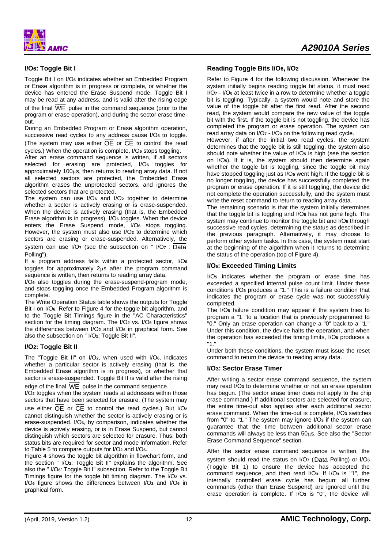**AMIC** 

## **I/O6: Toggle Bit I**

Toggle Bit I on I/O**6** indicates whether an Embedded Program or Erase algorithm is in progress or complete, or whether the device has entered the Erase Suspend mode. Toggle Bit I may be read at any address, and is valid after the rising edge

of the final WE pulse in the command sequence (prior to the program or erase operation), and during the sector erase timeout.

During an Embedded Program or Erase algorithm operation, successive read cycles to any address cause I/O**6** to toggle. (The system may use either OE or CE to control the read cycles.) When the operation is complete, I/O**6** stops toggling.

After an erase command sequence is written, if all sectors selected for erasing are protected, I/O**6** toggles for approximately 100μs, then returns to reading array data. If not all selected sectors are protected, the Embedded Erase algorithm erases the unprotected sectors, and ignores the selected sectors that are protected.

The system can use I/O**6** and I/O**2** together to determine whether a sector is actively erasing or is erase-suspended. When the device is actively erasing (that is, the Embedded Erase algorithm is in progress), I/O**6** toggles. When the device enters the Erase Suspend mode, I/O**6** stops toggling. However, the system must also use I/O**2** to determine which sectors are erasing or erase-suspended. Alternatively, the

system can use I/O**7** (see the subsection on " I/O**7** : Data Polling").

If a program address falls within a protected sector, I/O**<sup>6</sup>** toggles for approximately 2μs after the program command sequence is written, then returns to reading array data.

I/O**6** also toggles during the erase-suspend-program mode, and stops toggling once the Embedded Program algorithm is complete.

The Write Operation Status table shows the outputs for Toggle Bit I on I/O<sub>6</sub>. Refer to Figure 4 for the toggle bit algorithm, and to the Toggle Bit Timings figure in the "AC Characteristics" section for the timing diagram. The I/O**2** vs. I/O**6** figure shows the differences between I/O**2** and I/O**6** in graphical form. See also the subsection on " I/O**2**: Toggle Bit II".

#### **I/O2: Toggle Bit II**

The "Toggle Bit II" on I/O**2**, when used with I/O**6**, indicates whether a particular sector is actively erasing (that is, the Embedded Erase algorithm is in progress), or whether that sector is erase-suspended. Toggle Bit II is valid after the rising edge of the final WE pulse in the command sequence.

I/O**2** toggles when the system reads at addresses within those sectors that have been selected for erasure. (The system may use either OE or CE to control the read cycles.) But I/O**<sup>2</sup>** cannot distinguish whether the sector is actively erasing or is erase-suspended. I/O**6**, by comparison, indicates whether the device is actively erasing, or is in Erase Suspend, but cannot distinguish which sectors are selected for erasure. Thus, both status bits are required for sector and mode information. Refer to Table 5 to compare outputs for I/O**2** and I/O**6**.

Figure 4 shows the toggle bit algorithm in flowchart form, and the section " I/O**2**: Toggle Bit II" explains the algorithm. See also the " I/O<sub>6</sub>: Toggle Bit I" subsection. Refer to the Toggle Bit Timings figure for the toggle bit timing diagram. The I/O**2** vs. I/O**6** figure shows the differences between I/O**2** and I/O**6** in graphical form.

#### **Reading Toggle Bits I/O6, I/O2**

Refer to Figure 4 for the following discussion. Whenever the system initially begins reading toggle bit status, it must read I/O**7** - I/O**0** at least twice in a row to determine whether a toggle bit is toggling. Typically, a system would note and store the value of the toggle bit after the first read. After the second read, the system would compare the new value of the toggle bit with the first. If the toggle bit is not toggling, the device has completed the program or erase operation. The system can read array data on I/O**7** - I/O**0** on the following read cycle.

However, if after the initial two read cycles, the system determines that the toggle bit is still toggling, the system also should note whether the value of I/O**5** is high (see the section on I/O**5**). If it is, the system should then determine again whether the toggle bit is toggling, since the toggle bit may have stopped toggling just as I/O**5** went high. If the toggle bit is no longer toggling, the device has successfully completed the program or erase operation. If it is still toggling, the device did not complete the operation successfully, and the system must write the reset command to return to reading array data.

The remaining scenario is that the system initially determines that the toggle bit is toggling and I/O**5** has not gone high. The system may continue to monitor the toggle bit and I/O**5** through successive read cycles, determining the status as described in the previous paragraph. Alternatively, it may choose to perform other system tasks. In this case, the system must start at the beginning of the algorithm when it returns to determine the status of the operation (top of Figure 4).

#### **I/O5: Exceeded Timing Limits**

I/O**5** indicates whether the program or erase time has exceeded a specified internal pulse count limit. Under these conditions I/O**5** produces a "1." This is a failure condition that indicates the program or erase cycle was not successfully completed.

The I/O**5** failure condition may appear if the system tries to program a "1 "to a location that is previously programmed to "0." Only an erase operation can change a "0" back to a "1." Under this condition, the device halts the operation, and when the operation has exceeded the timing limits, I/O**5** produces a "1."

Under both these conditions, the system must issue the reset command to return the device to reading array data.

#### **I/O3: Sector Erase Timer**

After writing a sector erase command sequence, the system may read I/O**3** to determine whether or not an erase operation has begun. (The sector erase timer does not apply to the chip erase command.) If additional sectors are selected for erasure, the entire time-out also applies after each additional sector erase command. When the time-out is complete, I/O**3** switches from "0" to "1." The system may ignore I/O**3** if the system can guarantee that the time between additional sector erase commands will always be less than 50μs. See also the "Sector Erase Command Sequence" section.

After the sector erase command sequence is written, the system should read the status on I/O**7** (Data Polling) or I/O**<sup>6</sup>** (Toggle Bit 1) to ensure the device has accepted the command sequence, and then read I/O**3**. If I/O**3** is "1", the internally controlled erase cycle has begun; all further commands (other than Erase Suspend) are ignored until the erase operation is complete. If I/O**3** is "0", the device will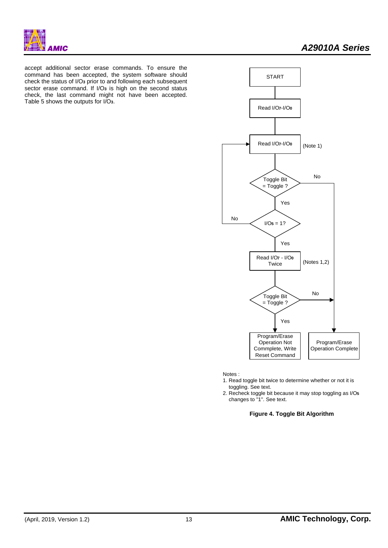accept additional sector erase commands. To ensure the command has been accepted, the system software should check the status of I/O**3** prior to and following each subsequent sector erase command. If I/O**3** is high on the second status check, the last command might not have been accepted. Table 5 shows the outputs for I/O**3**.



Notes :

- 1. Read toggle bit twice to determine whether or not it is toggling. See text.
- 2. Recheck toggle bit because it may stop toggling asI/O**5** changes to "1". See text.

**Figure 4. Toggle Bit Algorithm**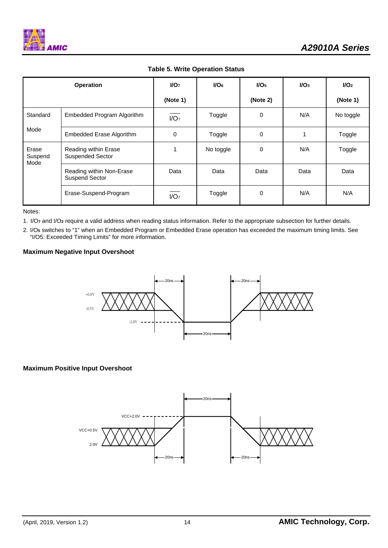

|  |  | <b>Table 5. Write Operation Status</b> |  |
|--|--|----------------------------------------|--|
|--|--|----------------------------------------|--|

| <b>Operation</b>         |                                                   | $1/O7$           | $I/O6$    | $I/O5$      | $I/O3$ | $I/O2$    |
|--------------------------|---------------------------------------------------|------------------|-----------|-------------|--------|-----------|
|                          |                                                   | (Note 1)         |           | (Note 2)    |        | (Note 1)  |
| Standard                 | Embedded Program Algorithm                        | I/O <sub>7</sub> | Toggle    | $\Omega$    | N/A    | No toggle |
| Mode                     | <b>Embedded Erase Algorithm</b>                   | 0                | Toggle    | $\mathbf 0$ | 1      | Toggle    |
| Erase<br>Suspend<br>Mode | Reading within Erase<br><b>Suspended Sector</b>   |                  | No toggle | 0           | N/A    | Toggle    |
|                          | Reading within Non-Erase<br><b>Suspend Sector</b> | Data             | Data      | Data        | Data   | Data      |
|                          | Erase-Suspend-Program                             | I/O <sub>7</sub> | Toggle    | 0           | N/A    | N/A       |

Notes:

1. I/O**7** and I/O**2** require a valid address when reading status information. Refer to the appropriate subsection for further details.

2. I/O**5** switches to "1" when an Embedded Program or Embedded Erase operation has exceeded the maximum timing limits. See "I/O5: Exceeded Timing Limits" for more information.

# **Maximum Negative Input Overshoot**



# **Maximum Positive Input Overshoot**

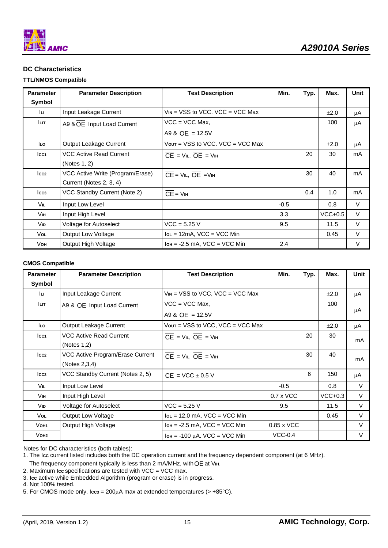

# **DC Characteristics**

## **TTL/NMOS Compatible**

| <b>Parameter</b> | <b>Parameter Description</b>     | <b>Test Description</b>                           | Min.   | Typ. | Max.      | Unit |
|------------------|----------------------------------|---------------------------------------------------|--------|------|-----------|------|
| Symbol           |                                  |                                                   |        |      |           |      |
| lu.              | Input Leakage Current            | $V_{IN}$ = VSS to VCC, VCC = VCC Max              |        |      | $\pm 2.0$ | μA   |
| <b>LIT</b>       | A9 & OE Input Load Current       | $VCC = VCC Max$ .                                 |        |      | 100       | μA   |
|                  |                                  | A9 & OE = 12.5V                                   |        |      |           |      |
| lLo              | Output Leakage Current           | $V_{\text{OUT}}$ = VSS to VCC, VCC = VCC Max      |        |      | ±2.0      | μA   |
| Icc1             | <b>VCC Active Read Current</b>   | $CE = VIL$ , $OE = VIH$                           |        | 20   | 30        | mA   |
|                  | (Notes 1, 2)                     |                                                   |        |      |           |      |
| Icc <sub>2</sub> | VCC Active Write (Program/Erase) | $\overline{CE}$ = $VIL$ , $\overline{OE}$ = $VIH$ |        | 30   | 40        | mA   |
|                  | Current (Notes 2, 3, 4)          |                                                   |        |      |           |      |
| Icc <sub>3</sub> | VCC Standby Current (Note 2)     | $\overline{\mathsf{CE}}$ = $\mathsf{V}\mathsf{H}$ |        | 0.4  | 1.0       | mA   |
| Vil.             | Input Low Level                  |                                                   | $-0.5$ |      | 0.8       | V    |
| Vін.             | Input High Level                 |                                                   | 3.3    |      | $VCC+0.5$ | V    |
| V <sub>ID</sub>  | Voltage for Autoselect           | $VCC = 5.25 V$                                    | 9.5    |      | 11.5      | V    |
| Vol              | Output Low Voltage               | $I_{OL} = 12mA$ , VCC = VCC Min                   |        |      | 0.45      | V    |
| Vон              | Output High Voltage              | $I$ он = -2.5 mA, VCC = VCC Min                   | 2.4    |      |           | V    |

#### **CMOS Compatible**

| <b>Parameter</b> | <b>Parameter Description</b>     | <b>Test Description</b>                           | Min.             | Typ. | Max.      | Unit   |
|------------------|----------------------------------|---------------------------------------------------|------------------|------|-----------|--------|
| Symbol           |                                  |                                                   |                  |      |           |        |
| lu.              | Input Leakage Current            | $V_{IN}$ = VSS to VCC, VCC = VCC Max              |                  |      | $\pm 2.0$ | μA     |
| Iцт.             | A9 & OE Input Load Current       | $VCC = VCC Max.$                                  |                  |      | 100       |        |
|                  |                                  | A9 & $OE = 12.5V$                                 |                  |      |           | μA     |
| lLo              | Output Leakage Current           | $V$ out = VSS to VCC, VCC = VCC Max               |                  |      | ±2.0      | μA     |
| lcc1             | <b>VCC Active Read Current</b>   | $\overline{CE}$ = $VIL$ , $\overline{OE}$ = $VIH$ |                  | 20   | 30        | mA     |
|                  | (Notes $1,2$ )                   |                                                   |                  |      |           |        |
| lcc2             | VCC Active Program/Erase Current | $CE = VIL$ , $OE = VIH$                           |                  | 30   | 40        | mA     |
|                  | (Notes 2,3,4)                    |                                                   |                  |      |           |        |
| Icc <sub>3</sub> | VCC Standby Current (Notes 2, 5) | $\overline{CE}$ = VCC $\pm$ 0.5 V                 |                  | 6    | 150       | μA     |
| VIL              | Input Low Level                  |                                                   | $-0.5$           |      | 0.8       | $\vee$ |
| Vін              | Input High Level                 |                                                   | $0.7 \times$ VCC |      | $VCC+0.3$ | $\vee$ |
| VID              | Voltage for Autoselect           | $VCC = 5.25 V$                                    | 9.5              |      | 11.5      | $\vee$ |
| Vol.             | Output Low Voltage               | $I_{OL}$ = 12.0 mA, VCC = VCC Min                 |                  |      | 0.45      | V      |
| Voh <sub>1</sub> | Output High Voltage              | $I$ он = -2.5 mA, VCC = VCC Min                   | 0.85 x VCC       |      |           | V      |
| Vo <sub>H2</sub> |                                  | $I_{OH} = -100 \mu A$ . VCC = VCC Min             | $VCC-0.4$        |      |           | V      |

Notes for DC characteristics (both tables):

3. I**CC** active while Embedded Algorithm (program or erase) is in progress.

4. Not 100% tested.

5. For CMOS mode only, I**CC3** = 200μA max at extended temperatures (> +85°C).

<sup>1.</sup> The I**CC** current listed includes both the DC operation current and the frequency dependent component (at 6 MHz).

The frequency component typically is less than 2 mA/MHz, with  $\overline{\text{OE}}$  at V<sub>IH</sub>.

<sup>2.</sup> Maximum I**CC** specifications are tested with VCC = VCC max.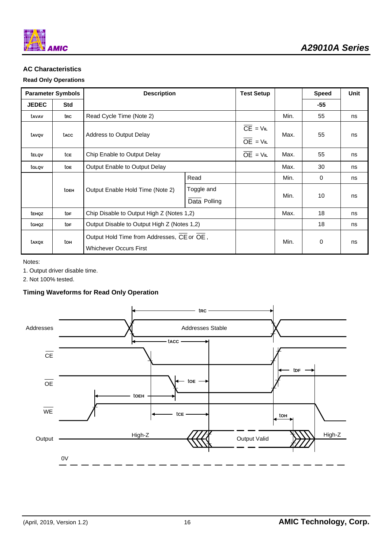

# **AC Characteristics**

# **Read Only Operations**

| <b>Parameter Symbols</b> |                        | <b>Description</b>                                                          |                            | <b>Test Setup</b>                     |      | <b>Speed</b> | <b>Unit</b> |
|--------------------------|------------------------|-----------------------------------------------------------------------------|----------------------------|---------------------------------------|------|--------------|-------------|
| <b>JEDEC</b>             | <b>Std</b>             |                                                                             |                            |                                       |      | -55          |             |
| tavav                    | trc                    | Read Cycle Time (Note 2)                                                    |                            |                                       | Min. | 55           | ns          |
| tavov                    | tacc                   | Address to Output Delay                                                     |                            | $\overline{CE}$ = $VIL$<br>$OE = VIL$ | Max. | 55           | ns          |
| tellov                   | tce                    | Chip Enable to Output Delay                                                 |                            | $OE = VIL$                            | Max. | 55           | ns          |
| tglov                    | toe                    | Output Enable to Output Delay                                               |                            |                                       | Max. | 30           | ns          |
|                          |                        |                                                                             | Read                       |                                       | Min. | 0            | ns          |
|                          | toEH                   | Output Enable Hold Time (Note 2)                                            | Toggle and<br>Data Polling |                                       | Min. | 10           | ns          |
| tEHOZ                    | <b>t</b> <sub>DF</sub> | Chip Disable to Output High Z (Notes 1,2)                                   |                            |                                       | Max. | 18           | ns          |
| tghoz                    | <b>t</b> <sub>DF</sub> | Output Disable to Output High Z (Notes 1,2)                                 |                            |                                       |      | 18           | ns          |
| taxox                    | tон                    | Output Hold Time from Addresses, CE or OE,<br><b>Whichever Occurs First</b> |                            |                                       | Min. | 0            | ns          |

Notes:

1. Output driver disable time.

2. Not 100% tested.

# **Timing Waveforms for Read Only Operation**

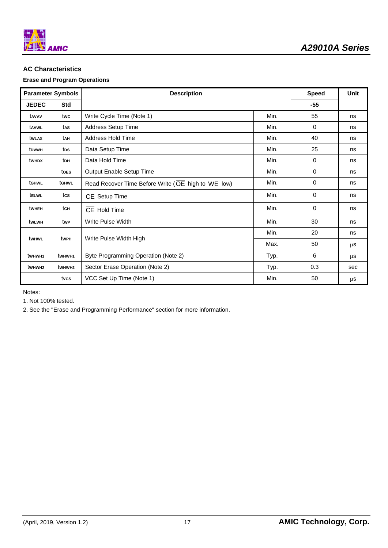

# **AC Characteristics**

# **Erase and Program Operations**

| <b>Parameter Symbols</b> |                    | <b>Description</b>                                 | <b>Speed</b> | <b>Unit</b> |         |
|--------------------------|--------------------|----------------------------------------------------|--------------|-------------|---------|
| <b>JEDEC</b>             | <b>Std</b>         |                                                    |              | $-55$       |         |
| tavav                    | twc                | Write Cycle Time (Note 1)                          | Min.         | 55          | ns      |
| tavwl                    | tas                | Address Setup Time                                 | Min.         | $\Omega$    | ns      |
| twlax                    | tah                | Address Hold Time                                  | Min.         | 40          | ns      |
| tpvwh                    | tos                | Data Setup Time                                    | Min.         | 25          | ns      |
| twhdx                    | ton                | Data Hold Time                                     | Min.         | $\mathbf 0$ | ns      |
|                          | toes               | Output Enable Setup Time                           | Min.         | $\mathbf 0$ | ns      |
| tghwl                    | tghwl              | Read Recover Time Before Write (OE high to WE low) | Min.         | 0           | ns      |
| telwl                    | tcs                | CE Setup Time                                      | Min.         | 0           | ns      |
| twhen                    | tcH                | CE Hold Time                                       | Min.         | 0           | ns      |
| tw∟wн                    | twe                | Write Pulse Width                                  | Min.         | 30          | ns      |
|                          |                    |                                                    | Min.         | 20          | ns      |
| twhwl                    | twpH               | Write Pulse Width High                             | Max.         | 50          | $\mu$ s |
| twhwh1                   | twhw <sub>H1</sub> | Byte Programming Operation (Note 2)                | Typ.         | 6           | μS      |
| twhw <sub>H2</sub>       | twhw <sub>H2</sub> | Sector Erase Operation (Note 2)                    | Typ.         | 0.3         | sec     |
|                          | tvcs               | VCC Set Up Time (Note 1)                           | Min.         | 50          | μS      |

Notes:

1. Not 100% tested.

2. See the "Erase and Programming Performance" section for more information.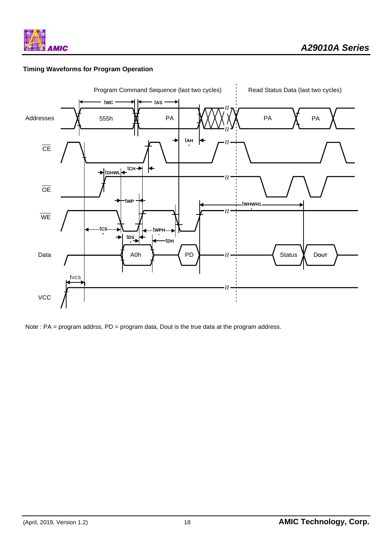

# **Timing Waveforms for Program Operation**



Note : PA = program addrss, PD = program data, Dout is the true data at the program address.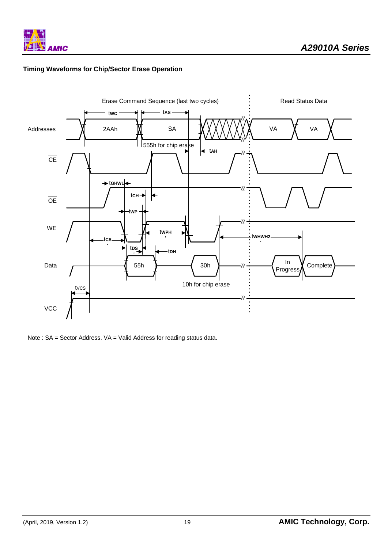

# **Timing Waveforms for Chip/Sector Erase Operation**



Note : SA = Sector Address. VA = Valid Address for reading status data.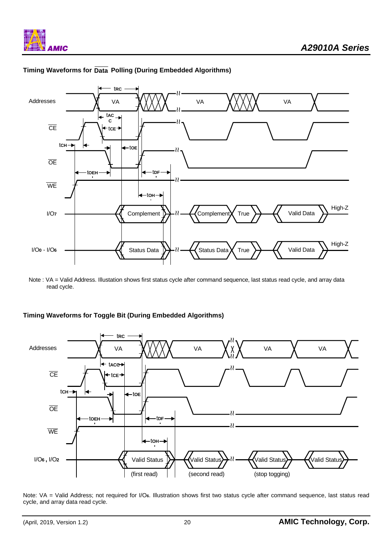

# **Timing Waveforms for Data Polling (During Embedded Algorithms)**

Note : VA = Valid Address. Illustation shows first status cycle after command sequence, last status read cycle, and array data read cycle.

# **Timing Waveforms for Toggle Bit (During Embedded Algorithms)**



Note: VA = Valid Address; not required for I/O**6**. Illustration shows first two status cycle after command sequence, last status read cycle, and array data read cycle.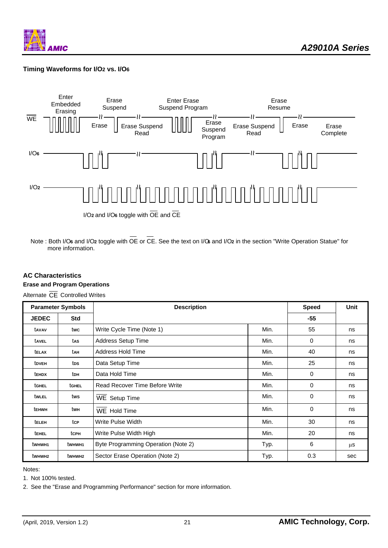

# **Timing Waveforms for I/O2 vs. I/O6**



Note : Both I/O**6** and I/O**2** toggle with OE or CE. See the text on I/O**6** and I/O**2** in the section "Write Operation Statue" for more information.

# **AC Characteristics**

# **Erase and Program Operations**

Alternate  $\overline{\text{CE}}$  Controlled Writes

| <b>Parameter Symbols</b> |                    | <b>Description</b>                  |      | <b>Speed</b> | <b>Unit</b> |
|--------------------------|--------------------|-------------------------------------|------|--------------|-------------|
| <b>JEDEC</b>             | <b>Std</b>         |                                     |      | $-55$        |             |
| tavav                    | twc                | Write Cycle Time (Note 1)           | Min. | 55           | ns          |
| tavel                    | tas                | <b>Address Setup Time</b>           | Min. | 0            | ns          |
| <b>TELAX</b>             | tah                | Address Hold Time                   | Min. | 40           | ns          |
| tdveh                    | tps                | Data Setup Time                     | Min. | 25           | ns          |
| tehdx                    | toh                | Data Hold Time                      | Min. | 0            | ns          |
| tGHEL                    | tGHEL              | Read Recover Time Before Write      | Min. | 0            | ns          |
| twlel                    | tws                | WE Setup Time                       | Min. | $\mathbf 0$  | ns          |
| tehwh                    | twн                | WE Hold Time                        | Min. | $\mathbf 0$  | ns          |
| teleh                    | tcp                | Write Pulse Width                   | Min. | 30           | ns          |
| <b>TEHEL</b>             | tcph               | Write Pulse Width High              | Min. | 20           | ns          |
| twhwh1                   | twhwh1             | Byte Programming Operation (Note 2) | Typ. | 6            | μS          |
| twhw <sub>H2</sub>       | twhw <sub>H2</sub> | Sector Erase Operation (Note 2)     | Typ. | 0.3          | sec         |

Notes:

1. Not 100% tested.

2. See the "Erase and Programming Performance" section for more information.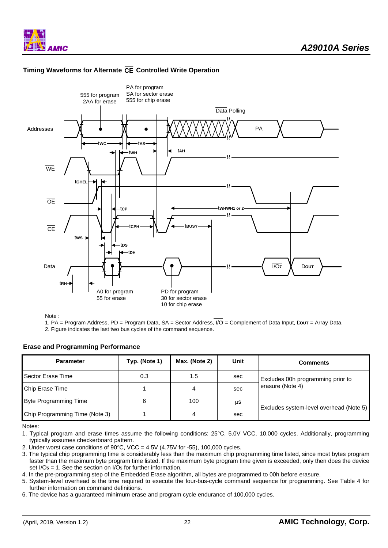





Note :

1. PA = Program Address, PD = Program Data, SA = Sector Address, I/O**7** = Complement of Data Input, D**OUT** = Array Data. 2. Figure indicates the last two bus cycles of the command sequence.

## **Erase and Programming Performance**

| <b>Parameter</b>               | Typ. (Note 1) | Max. (Note 2) | Unit | <b>Comments</b>                         |
|--------------------------------|---------------|---------------|------|-----------------------------------------|
| Sector Erase Time              | 0.3           | 1.5           | sec  | Excludes 00h programming prior to       |
| Chip Erase Time                |               | 4             | sec  | erasure (Note 4)                        |
| <b>Byte Programming Time</b>   | 6             | 100           | μS   |                                         |
| Chip Programming Time (Note 3) |               | 4             | sec  | Excludes system-level overhead (Note 5) |

Notes:

1. Typical program and erase times assume the following conditions: 25°C, 5.0V VCC, 10,000 cycles. Additionally, programming typically assumes checkerboard pattern.

2. Under worst case conditions of  $90^{\circ}$ C, VCC =  $4.5V$  (4.75V for -55), 100,000 cycles.

3. The typical chip programming time is considerably less than the maximum chip programming time listed, since most bytes program faster than the maximum byte program time listed. If the maximum byte program time given is exceeded, only then does the device set I/O**5** = 1. See the section on I/O**5** for further information.

4. In the pre-programming step of the Embedded Erase algorithm, all bytes are programmed to 00h before erasure.

5. System-level overhead is the time required to execute the four-bus-cycle command sequence for programming. See Table 4 for further information on command definitions.

6. The device has a guaranteed minimum erase and program cycle endurance of 100,000 cycles.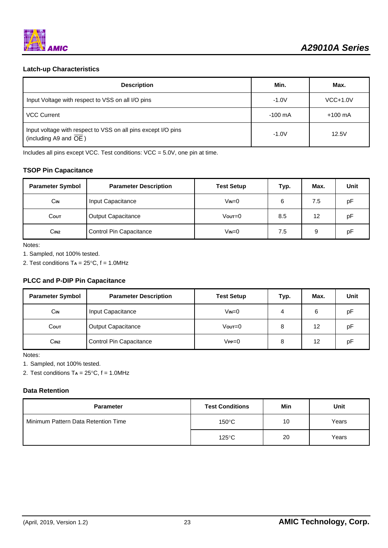# **Latch-up Characteristics**

| <b>Description</b>                                                                     | Min.              | Max.              |
|----------------------------------------------------------------------------------------|-------------------|-------------------|
| Input Voltage with respect to VSS on all I/O pins                                      | $-1.0V$           | $VCC+1.0V$        |
| <b>VCC Current</b>                                                                     | $-100 \text{ mA}$ | $+100 \text{ mA}$ |
| Input voltage with respect to VSS on all pins except I/O pins<br>(including A9 and OE) | $-1.0V$           | 12.5V             |

Includes all pins except VCC. Test conditions: VCC = 5.0V, one pin at time.

# **TSOP Pin Capacitance**

| <b>Parameter Symbol</b>                     | <b>Parameter Description</b> | <b>Test Setup</b> | Typ. | Max. | Unit |
|---------------------------------------------|------------------------------|-------------------|------|------|------|
| <b>CIN</b>                                  | Input Capacitance            | $V_{IN}=0$        | 6    | 7.5  | рF   |
| Соит                                        | <b>Output Capacitance</b>    | $V$ out $=$ 0     | 8.5  | 12   | рF   |
| Control Pin Capacitance<br>C <sub>IN2</sub> |                              | $V_{IN}=0$        | 7.5  | 9    | рF   |

Notes:

1. Sampled, not 100% tested.

2. Test conditions T**A** = 25°C, f = 1.0MHz

## **PLCC and P-DIP Pin Capacitance**

| <b>Parameter Symbol</b>                            | <b>Parameter Description</b> | <b>Test Setup</b> | Typ. | Max. | Unit |
|----------------------------------------------------|------------------------------|-------------------|------|------|------|
| <b>CIN</b>                                         | Input Capacitance            | $V_{IN} = 0$      | 4    | 6    | рF   |
| Соит                                               | <b>Output Capacitance</b>    | Vout=0            | 8    | 12   | рF   |
| C <sub>IN2</sub><br><b>Control Pin Capacitance</b> |                              | $V$ PP $=$ $0$    | 8    | 12   | рF   |

Notes:

1. Sampled, not 100% tested.

2. Test conditions T**A** = 25°C, f = 1.0MHz

# **Data Retention**

| <b>Parameter</b>                    | <b>Test Conditions</b> | Min | Unit  |
|-------------------------------------|------------------------|-----|-------|
| Minimum Pattern Data Retention Time | $150^{\circ}$ C        | 10  | Years |
|                                     | $125^{\circ}$ C        | 20  | Years |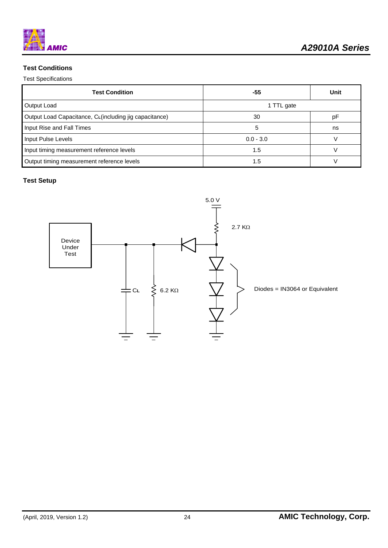# **Test Conditions**

# Test Specifications

| <b>Test Condition</b>                                   | -55         | Unit |  |
|---------------------------------------------------------|-------------|------|--|
| Output Load                                             | 1 TTL gate  |      |  |
| Output Load Capacitance, CL (including jig capacitance) | 30          | рF   |  |
| Input Rise and Fall Times                               | 5           | ns   |  |
| Input Pulse Levels                                      | $0.0 - 3.0$ |      |  |
| Input timing measurement reference levels               | 1.5         |      |  |
| Output timing measurement reference levels              | 1.5         |      |  |

# **Test Setup**

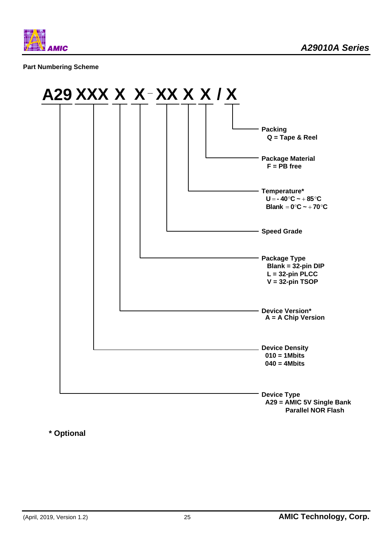

## **Part Numbering Scheme**



 **Parallel NOR Flash**

**\* Optional**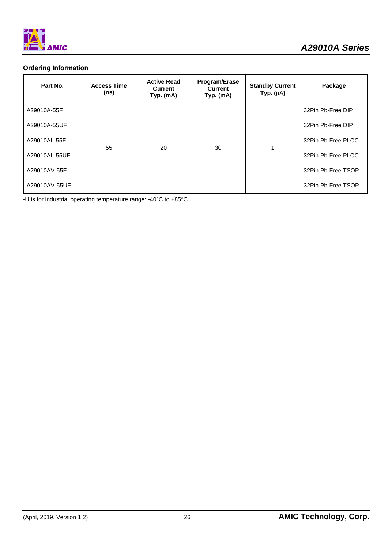

# **Ordering Information**

| Part No.      | <b>Access Time</b><br>(ns) | <b>Active Read</b><br>Current<br>Typ. (mA) | Program/Erase<br><b>Current</b><br>Typ. (mA) | <b>Standby Current</b><br>Typ. $(\mu A)$ | Package            |  |                    |
|---------------|----------------------------|--------------------------------------------|----------------------------------------------|------------------------------------------|--------------------|--|--------------------|
| A29010A-55F   | 55                         |                                            |                                              |                                          | 32Pin Pb-Free DIP  |  |                    |
| A29010A-55UF  |                            |                                            |                                              |                                          | 32Pin Pb-Free DIP  |  |                    |
| A29010AL-55F  |                            |                                            |                                              | 20                                       | 30                 |  | 32Pin Pb-Free PLCC |
| A29010AL-55UF |                            |                                            |                                              |                                          |                    |  | 32Pin Pb-Free PLCC |
| A29010AV-55F  |                            |                                            |                                              |                                          | 32Pin Pb-Free TSOP |  |                    |
| A29010AV-55UF |                            |                                            |                                              |                                          | 32Pin Pb-Free TSOP |  |                    |

-U is for industrial operating temperature range: -40°C to +85°C.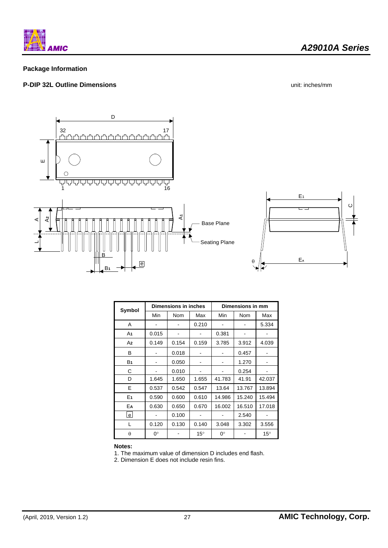

# **Package Information**

# **P-DIP 32L Outline Dimensions** unit: inches/mm



| Symbol         | Dimensions in inches |       |              | Dimensions in mm |        |              |
|----------------|----------------------|-------|--------------|------------------|--------|--------------|
|                | Min                  | Nom   | Max          | Min              | Nom    | Max          |
| A              |                      |       | 0.210        |                  |        | 5.334        |
| A1             | 0.015                |       |              | 0.381            |        |              |
| A2             | 0.149                | 0.154 | 0.159        | 3.785            | 3.912  | 4.039        |
| в              |                      | 0.018 |              |                  | 0.457  |              |
| B <sub>1</sub> |                      | 0.050 |              |                  | 1.270  |              |
| С              |                      | 0.010 |              |                  | 0.254  |              |
| D              | 1.645                | 1.650 | 1.655        | 41.783           | 41.91  | 42.037       |
| E              | 0.537                | 0.542 | 0.547        | 13.64            | 13.767 | 13.894       |
| E <sub>1</sub> | 0.590                | 0.600 | 0.610        | 14.986           | 15.240 | 15.494       |
| EA             | 0.630                | 0.650 | 0.670        | 16.002           | 16.510 | 17.018       |
| lel            |                      | 0.100 |              |                  | 2.540  |              |
| L              | 0.120                | 0.130 | 0.140        | 3.048            | 3.302  | 3.556        |
| $\theta$       | 0°                   |       | $15^{\circ}$ | 0°               |        | $15^{\circ}$ |

#### **Notes:**

1. The maximum value of dimension D includes end flash.

2. Dimension E does not include resin fins.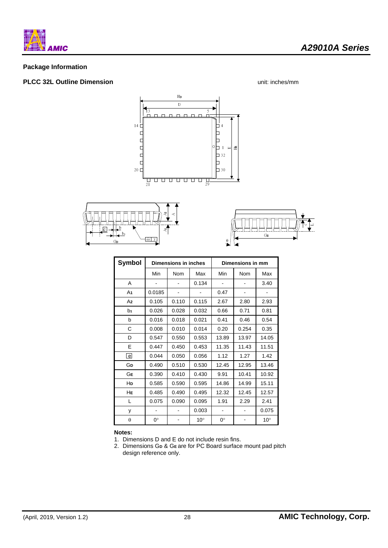

# **Package Information**

# **PLCC 32L Outline Dimension Dimension unit: inches/mm**

*A29010A Series* 







| Symbol         | <b>Dimensions in inches</b> |            |              | Dimensions in mm |       |              |
|----------------|-----------------------------|------------|--------------|------------------|-------|--------------|
|                | Min                         | <b>Nom</b> | Max          | Min              | Nom   | Max          |
| A              |                             |            | 0.134        |                  |       | 3.40         |
| A1             | 0.0185                      |            |              | 0.47             |       |              |
| A <sub>2</sub> | 0.105                       | 0.110      | 0.115        | 2.67             | 2.80  | 2.93         |
| b1             | 0.026                       | 0.028      | 0.032        | 0.66             | 0.71  | 0.81         |
| b              | 0.016                       | 0.018      | 0.021        | 0.41             | 0.46  | 0.54         |
| C              | 0.008                       | 0.010      | 0.014        | 0.20             | 0.254 | 0.35         |
| D              | 0.547                       | 0.550      | 0.553        | 13.89            | 13.97 | 14.05        |
| E              | 0.447                       | 0.450      | 0.453        | 11.35            | 11.43 | 11.51        |
| l el           | 0.044                       | 0.050      | 0.056        | 1.12             | 1.27  | 1.42         |
| GD             | 0.490                       | 0.510      | 0.530        | 12.45            | 12.95 | 13.46        |
| GЕ             | 0.390                       | 0.410      | 0.430        | 9.91             | 10.41 | 10.92        |
| HD             | 0.585                       | 0.590      | 0.595        | 14.86            | 14.99 | 15.11        |
| HЕ             | 0.485                       | 0.490      | 0.495        | 12.32            | 12.45 | 12.57        |
| L              | 0.075                       | 0.090      | 0.095        | 1.91             | 2.29  | 2.41         |
| у              |                             |            | 0.003        |                  |       | 0.075        |
| θ              | 0°                          |            | $10^{\circ}$ | 0°               |       | $10^{\circ}$ |

#### **Notes:**

1. Dimensions D and E do not include resin fins.

2. Dimensions G**D** & G**<sup>E</sup>** are for PC Board surface mount pad pitch design reference only.